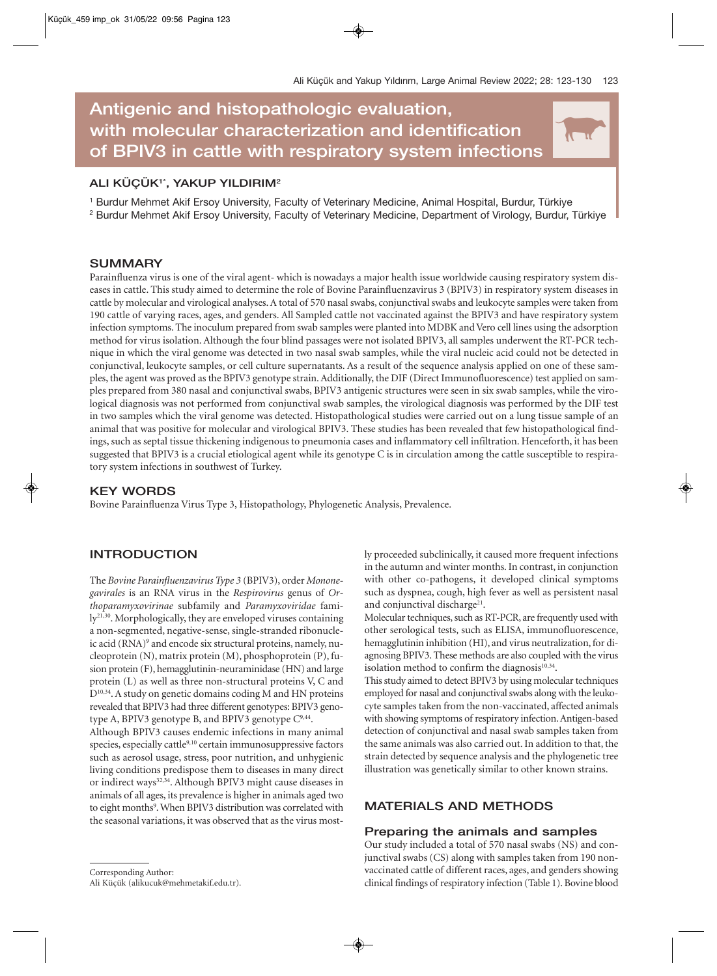N

# **Antigenic and histopathologic evaluation, with molecular characterization and identification of BPIV3 in cattle with respiratory system infections**

# **ALI KÜÇÜK1\*, YAKUP YILDIRIM2**

<sup>1</sup> Burdur Mehmet Akif Ersoy University, Faculty of Veterinary Medicine, Animal Hospital, Burdur, Türkiye

<sup>2</sup> Burdur Mehmet Akif Ersoy University, Faculty of Veterinary Medicine, Department of Virology, Burdur, Türkiye

## **SUMMARY**

Parainfluenza virus is one of the viral agent- which is nowadays a major health issue worldwide causing respiratory system diseases in cattle. This study aimed to determine the role of Bovine Parainfluenzavirus 3 (BPIV3) in respiratory system diseases in cattle by molecular and virological analyses. A total of 570 nasal swabs, conjunctival swabs and leukocyte samples were taken from 190 cattle of varying races, ages, and genders. All Sampled cattle not vaccinated against the BPIV3 and have respiratory system infection symptoms. The inoculum prepared from swab samples were planted into MDBK and Vero cell lines using the adsorption method for virus isolation. Although the four blind passages were not isolated BPIV3, all samples underwent the RT-PCR technique in which the viral genome was detected in two nasal swab samples, while the viral nucleic acid could not be detected in conjunctival, leukocyte samples, or cell culture supernatants. As a result of the sequence analysis applied on one of these samples, the agent was proved as the BPIV3 genotype strain. Additionally, the DIF (Direct Immunofluorescence) test applied on samples prepared from 380 nasal and conjunctival swabs, BPIV3 antigenic structures were seen in six swab samples, while the virological diagnosis was not performed from conjunctival swab samples, the virological diagnosis was performed by the DIF test in two samples which the viral genome was detected. Histopathological studies were carried out on a lung tissue sample of an animal that was positive for molecular and virological BPIV3. These studies has been revealed that few histopathological findings, such as septal tissue thickening indigenous to pneumonia cases and inflammatory cell infiltration. Henceforth, it has been suggested that BPIV3 is a crucial etiological agent while its genotype C is in circulation among the cattle susceptible to respiratory system infections in southwest of Turkey.

## **KEY WORDS**

Bovine Parainfluenza Virus Type 3, Histopathology, Phylogenetic Analysis, Prevalence.

## **INTRODUCTION**

The *Bovine Parainfluenzavirus Type 3* (BPIV3), order *Mononegavirales* is an RNA virus in the *Respirovirus* genus of *Orthoparamyxovirinae* subfamily and *Paramyxoviridae* family<sup>21,30</sup>. Morphologically, they are enveloped viruses containing a non-segmented, negative-sense, single-stranded ribonucleic acid (RNA)<sup>9</sup> and encode six structural proteins, namely, nucleoprotein (N), matrix protein (M), phosphoprotein (P), fusion protein (F), hemagglutinin-neuraminidase (HN) and large protein (L) as well as three non-structural proteins V, C and  $D^{10,34}$ . A study on genetic domains coding M and HN proteins revealed that BPIV3 had three different genotypes: BPIV3 genotype A, BPIV3 genotype B, and BPIV3 genotype  $C^{9,44}$ .

Although BPIV3 causes endemic infections in many animal species, especially cattle $9,10$  certain immunosuppressive factors such as aerosol usage, stress, poor nutrition, and unhygienic living conditions predispose them to diseases in many direct or indirect ways<sup>32,34</sup>. Although BPIV3 might cause diseases in animals of all ages, its prevalence is higher in animals aged two to eight months<sup>9</sup>. When BPIV3 distribution was correlated with the seasonal variations, it was observed that as the virus most-

Ali Küçük (alikucuk@mehmetakif.edu.tr).

ly proceeded subclinically, it caused more frequent infections in the autumn and winter months. In contrast, in conjunction with other co-pathogens, it developed clinical symptoms such as dyspnea, cough, high fever as well as persistent nasal and conjunctival discharge<sup>21</sup>.

Molecular techniques, such as RT-PCR, are frequently used with other serological tests, such as ELISA, immunofluorescence, hemagglutinin inhibition (HI), and virus neutralization, for diagnosing BPIV3. These methods are also coupled with the virus isolation method to confirm the diagnosis $10,34$ .

This study aimed to detect BPIV3 by using molecular techniques employed for nasal and conjunctival swabs along with the leukocyte samples taken from the non-vaccinated, affected animals with showing symptoms of respiratory infection. Antigen-based detection of conjunctival and nasal swab samples taken from the same animals was also carried out. In addition to that, the strain detected by sequence analysis and the phylogenetic tree illustration was genetically similar to other known strains.

## **MATERIALS AND METHODS**

## **Preparing the animals and samples**

Our study included a total of 570 nasal swabs (NS) and conjunctival swabs (CS) along with samples taken from 190 nonvaccinated cattle of different races, ages, and genders showing clinical findings of respiratory infection (Table 1). Bovine blood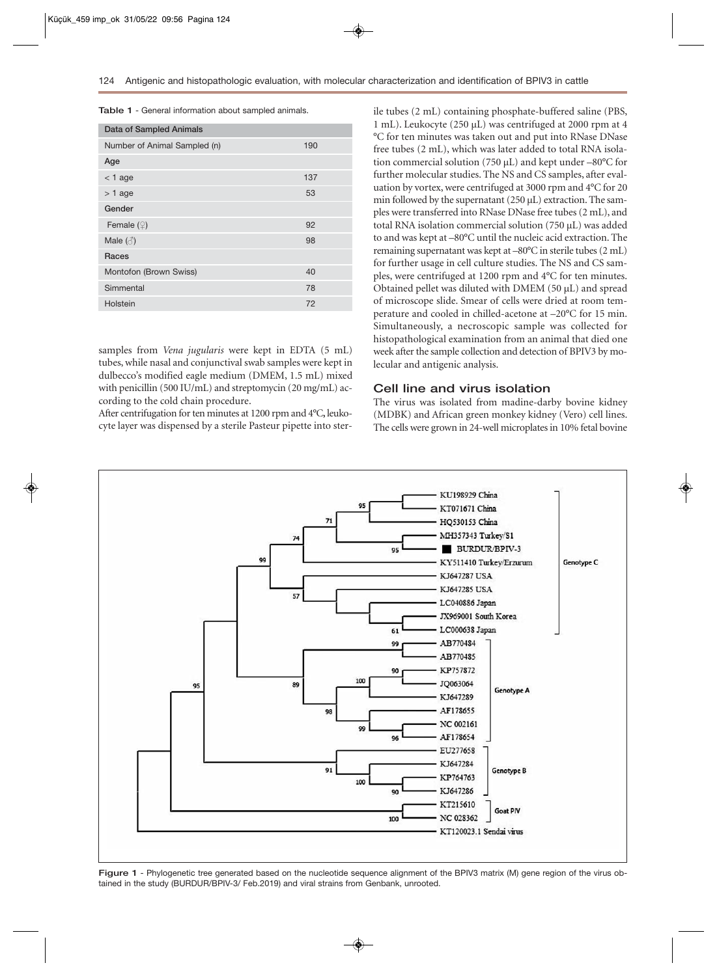**Table 1** - General information about sampled animals.

| Data of Sampled Animals      |     |  |  |  |  |  |  |  |  |  |
|------------------------------|-----|--|--|--|--|--|--|--|--|--|
| Number of Animal Sampled (n) | 190 |  |  |  |  |  |  |  |  |  |
| Age                          |     |  |  |  |  |  |  |  |  |  |
| $<$ 1 age                    | 137 |  |  |  |  |  |  |  |  |  |
| $> 1$ age                    | 53  |  |  |  |  |  |  |  |  |  |
| Gender                       |     |  |  |  |  |  |  |  |  |  |
| Female $(\varphi)$           | 92  |  |  |  |  |  |  |  |  |  |
| Male $(\text{A})$            | 98  |  |  |  |  |  |  |  |  |  |
| Races                        |     |  |  |  |  |  |  |  |  |  |
| Montofon (Brown Swiss)       | 40  |  |  |  |  |  |  |  |  |  |
| Simmental                    | 78  |  |  |  |  |  |  |  |  |  |
| Holstein                     | 72  |  |  |  |  |  |  |  |  |  |

samples from *Vena jugularis* were kept in EDTA (5 mL) tubes, while nasal and conjunctival swab samples were kept in dulbecco's modified eagle medium (DMEM, 1.5 mL) mixed with penicillin (500 IU/mL) and streptomycin (20 mg/mL) according to the cold chain procedure.

After centrifugation for ten minutes at 1200 rpm and 4°C**,** leukocyte layer was dispensed by a sterile Pasteur pipette into sterile tubes (2 mL) containing phosphate-buffered saline (PBS, 1 mL). Leukocyte (250 µL) was centrifuged at 2000 rpm at 4 °C for ten minutes was taken out and put into RNase DNase free tubes (2 mL), which was later added to total RNA isolation commercial solution (750  $\mu$ L) and kept under –80 $\degree$ C for further molecular studies. The NS and CS samples, after evaluation by vortex, were centrifuged at 3000 rpm and 4°C for 20 min followed by the supernatant (250  $\mu$ L) extraction. The samples were transferred into RNase DNase free tubes (2 mL), and total RNA isolation commercial solution (750 µL) was added to and was kept at –80°C until the nucleic acid extraction. The remaining supernatant was kept at –80°C in sterile tubes (2 mL) for further usage in cell culture studies. The NS and CS samples, were centrifuged at 1200 rpm and 4°C for ten minutes. Obtained pellet was diluted with DMEM (50  $\mu$ L) and spread of microscope slide. Smear of cells were dried at room temperature and cooled in chilled-acetone at –20°C for 15 min. Simultaneously, a necroscopic sample was collected for histopathological examination from an animal that died one week after the sample collection and detection of BPIV3 by molecular and antigenic analysis.

#### **Cell line and virus isolation**

The virus was isolated from madine-darby bovine kidney (MDBK) and African green monkey kidney (Vero) cell lines. The cells were grown in 24-well microplates in 10% fetal bovine



**Figure 1** - Phylogenetic tree generated based on the nucleotide sequence alignment of the BPIV3 matrix (M) gene region of the virus obtained in the study (BURDUR/BPIV-3/ Feb.2019) and viral strains from Genbank, unrooted.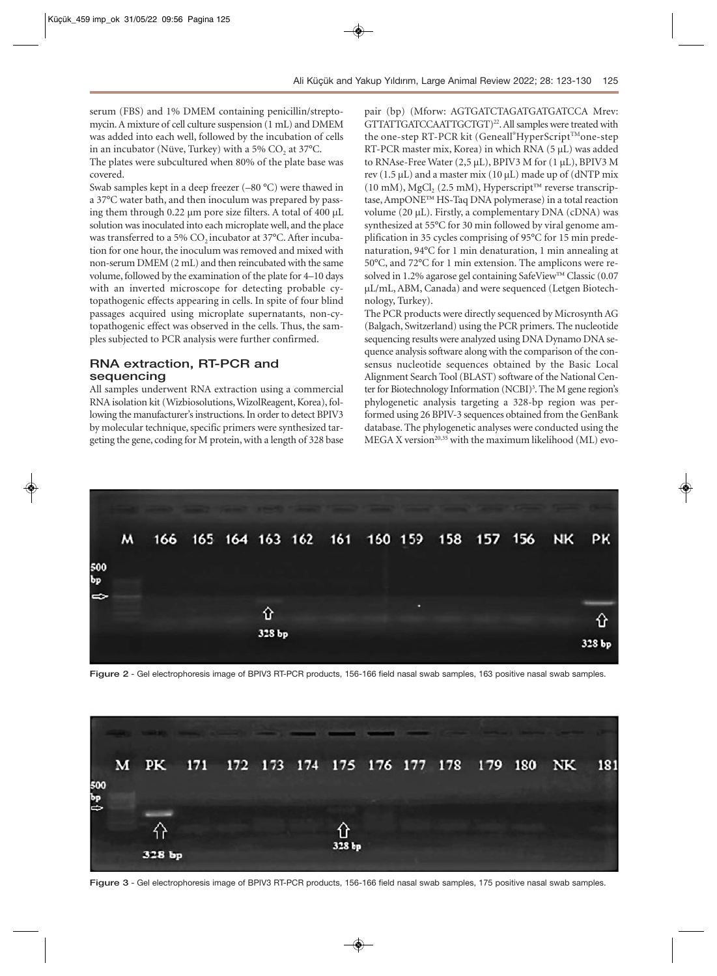serum (FBS) and 1% DMEM containing penicillin/streptomycin. A mixture of cell culture suspension (1 mL) and DMEM was added into each well, followed by the incubation of cells in an incubator (Nüve, Turkey) with a 5%  $CO<sub>2</sub>$  at 37°C. The plates were subcultured when 80% of the plate base was covered.

Swab samples kept in a deep freezer (–80 °C) were thawed in a 37°C water bath, and then inoculum was prepared by passing them through 0.22 µm pore size filters. A total of 400 µL solution was inoculated into each microplate well, and the place was transferred to a 5%  $CO<sub>2</sub>$  incubator at 37°C. After incubation for one hour, the inoculum was removed and mixed with non-serum DMEM (2 mL) and then reincubated with the same volume, followed by the examination of the plate for 4–10 days with an inverted microscope for detecting probable cytopathogenic effects appearing in cells. In spite of four blind passages acquired using microplate supernatants, non-cytopathogenic effect was observed in the cells. Thus, the samples subjected to PCR analysis were further confirmed.

## **RNA extraction, RT-PCR and sequencing**

All samples underwent RNA extraction using a commercial RNA isolation kit (Wizbiosolutions, WizolReagent, Korea), following the manufacturer's instructions. In order to detect BPIV3 by molecular technique, specific primers were synthesized targeting the gene, coding for M protein, with a length of 328 base

pair (bp) (Mforw: AGTGATCTAGATGATGATCCA Mrev: GTTATTGATCCAATTGCTGT)<sup>22</sup>. All samples were treated with the one-step RT-PCR kit (Geneall®HyperScript™one-step RT-PCR master mix, Korea) in which RNA (5 µL) was added to RNAse-Free Water  $(2,5 \mu L)$ , BPIV3 M for  $(1 \mu L)$ , BPIV3 M rev  $(1.5 \mu L)$  and a master mix  $(10 \mu L)$  made up of  $(dNTP \text{ mix})$ (10 mM),  $MgCl<sub>2</sub>$  (2.5 mM), Hyperscript<sup>™</sup> reverse transcriptase, AmpONE™ HS-Taq DNA polymerase) in a total reaction volume (20 µL). Firstly, a complementary DNA (cDNA) was synthesized at 55°C for 30 min followed by viral genome amplification in 35 cycles comprising of 95°C for 15 min predenaturation, 94°C for 1 min denaturation, 1 min annealing at 50°C, and 72°C for 1 min extension. The amplicons were resolved in 1.2% agarose gel containing SafeView™ Classic (0.07 µL/mL, ABM, Canada) and were sequenced (Letgen Biotechnology, Turkey).

The PCR products were directly sequenced by Microsynth AG (Balgach, Switzerland) using the PCR primers. The nucleotide sequencing results were analyzed using DNA Dynamo DNA sequence analysis software along with the comparison of the consensus nucleotide sequences obtained by the Basic Local Alignment Search Tool (BLAST) software of the National Center for Biotechnology Information (NCBI)<sup>3</sup>. The M gene region's phylogenetic analysis targeting a 328-bp region was performed using 26 BPIV-3 sequences obtained from the GenBank database. The phylogenetic analyses were conducted using the MEGA X version $^{20,35}$  with the maximum likelihood (ML) evo-



**Figure 2** - Gel electrophoresis image of BPIV3 RT-PCR products, 156-166 field nasal swab samples, 163 positive nasal swab samples.



**Figure 3** - Gel electrophoresis image of BPIV3 RT-PCR products, 156-166 field nasal swab samples, 175 positive nasal swab samples.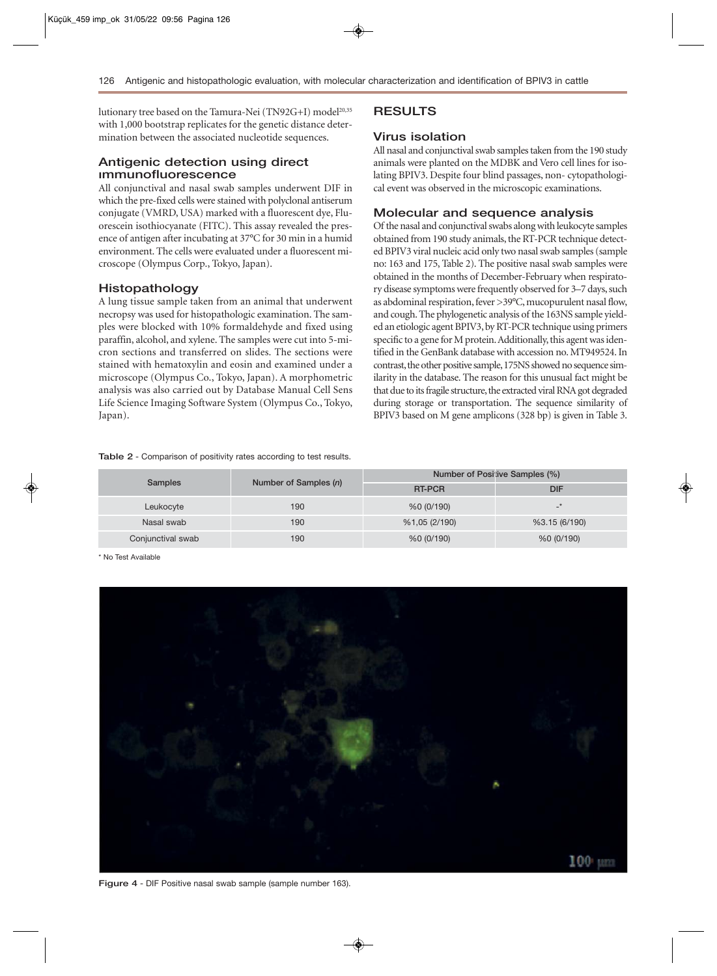lutionary tree based on the Tamura-Nei (TN92G+I) model<sup>20,35</sup> with 1,000 bootstrap replicates for the genetic distance determination between the associated nucleotide sequences.

### **Antigenic detection using direct ımmunofluorescence**

All conjunctival and nasal swab samples underwent DIF in which the pre-fixed cells were stained with polyclonal antiserum conjugate (VMRD, USA) marked with a fluorescent dye, Fluorescein isothiocyanate (FITC). This assay revealed the presence of antigen after incubating at 37°C for 30 min in a humid environment. The cells were evaluated under a fluorescent microscope (Olympus Corp., Tokyo, Japan).

#### **Histopathology**

A lung tissue sample taken from an animal that underwent necropsy was used for histopathologic examination. The samples were blocked with 10% formaldehyde and fixed using paraffin, alcohol, and xylene. The samples were cut into 5-micron sections and transferred on slides. The sections were stained with hematoxylin and eosin and examined under a microscope (Olympus Co., Tokyo, Japan). A morphometric analysis was also carried out by Database Manual Cell Sens Life Science Imaging Software System (Olympus Co., Tokyo, Japan).

#### **Table 2** - Comparison of positivity rates according to test results.

### **Virus isolation**

All nasal and conjunctival swab samples taken from the 190 study animals were planted on the MDBK and Vero cell lines for isolating BPIV3. Despite four blind passages, non- cytopathological event was observed in the microscopic examinations.

#### **Molecular and sequence analysis**

Of the nasal and conjunctival swabs along with leukocyte samples obtained from 190 study animals, the RT-PCR technique detected BPIV3 viral nucleic acid only two nasal swab samples (sample no: 163 and 175, Table 2). The positive nasal swab samples were obtained in the months of December-February when respiratory disease symptoms were frequently observed for 3–7 days, such as abdominal respiration, fever >39°C, mucopurulent nasal flow, and cough. The phylogenetic analysis of the 163NS sample yielded an etiologic agent BPIV3, by RT-PCR technique using primers specific to a gene for M protein. Additionally, this agent was identified in the GenBank database with accession no. MT949524. In contrast, the other positive sample, 175NS showed no sequence similarity in the database. The reason for this unusual fact might be that due to its fragile structure, the extracted viral RNA got degraded during storage or transportation. The sequence similarity of BPIV3 based on M gene amplicons (328 bp) is given in Table 3.

|                   |                       | Number of Positive Samples (%) |               |  |  |  |  |  |  |
|-------------------|-----------------------|--------------------------------|---------------|--|--|--|--|--|--|
| <b>Samples</b>    | Number of Samples (n) | <b>RT-PCR</b>                  | <b>DIF</b>    |  |  |  |  |  |  |
| Leukocyte         | 190                   | %0 (0/190)                     |               |  |  |  |  |  |  |
| Nasal swab        | 190                   | %1,05(2/190)                   | %3.15 (6/190) |  |  |  |  |  |  |
| Conjunctival swab | 190                   | %0 (0/190)                     | %0(0/190)     |  |  |  |  |  |  |

\* No Test Available



**Figure 4** - DIF Positive nasal swab sample (sample number 163).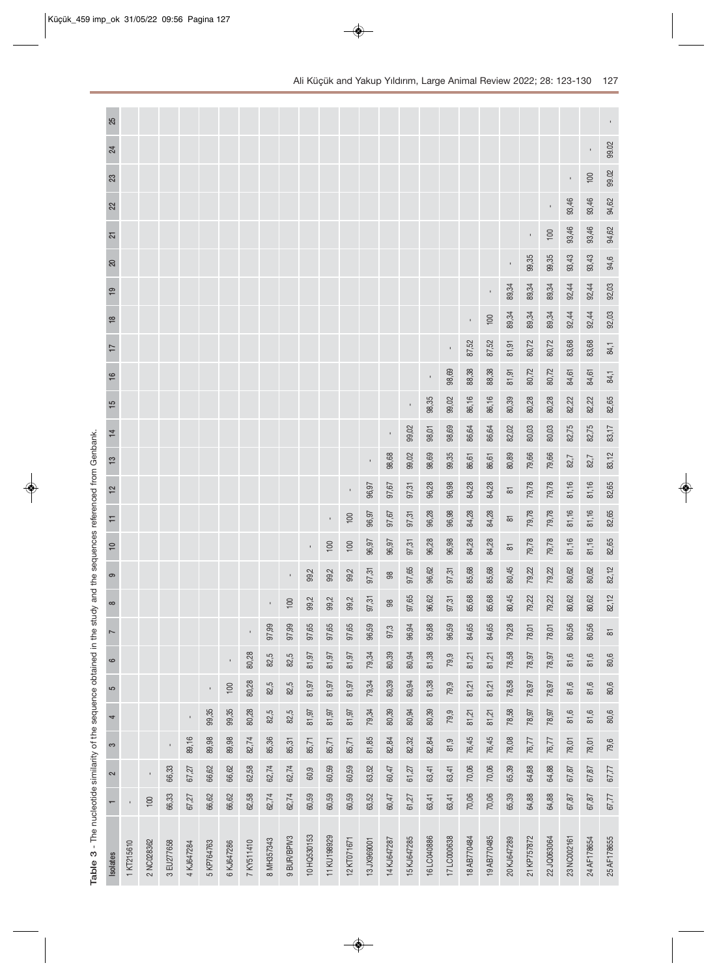| 25              |            |                |            |              |            |                |            |            |             |              |                |              |             |               |             |             |             |                |              |                     |              |             |                |             |                     |
|-----------------|------------|----------------|------------|--------------|------------|----------------|------------|------------|-------------|--------------|----------------|--------------|-------------|---------------|-------------|-------------|-------------|----------------|--------------|---------------------|--------------|-------------|----------------|-------------|---------------------|
| 24              |            |                |            |              |            |                |            |            |             |              |                |              |             |               |             |             |             |                |              |                     |              |             |                |             | 99.02               |
| 23              |            |                |            |              |            |                |            |            |             |              |                |              |             |               |             |             |             |                |              |                     |              |             | $\blacksquare$ | 100         | 99.02               |
| 22              |            |                |            |              |            |                |            |            |             |              |                |              |             |               |             |             |             |                |              |                     |              |             | 93,46          | 93,46       | 94,62               |
| $\overline{21}$ |            |                |            |              |            |                |            |            |             |              |                |              |             |               |             |             |             |                |              |                     | $\mathbf{r}$ | 100         | 93,46          | 93,46       | 94,62               |
| 20              |            |                |            |              |            |                |            |            |             |              |                |              |             |               |             |             |             |                |              |                     | 99,35        | 99,35       | 93,43          | 93,43       | 94,6                |
| $\overline{19}$ |            |                |            |              |            |                |            |            |             |              |                |              |             |               |             |             |             |                | $\mathbf{I}$ | 89,34               | 89,34        | 89,34       | 92,44          | 92,44       | 92,03               |
| $\frac{8}{1}$   |            |                |            |              |            |                |            |            |             |              |                |              |             |               |             |             |             | $\blacksquare$ | 100          | 89,34               | 89,34        | 89,34       | 92,44          | 92,44       | 92,03               |
| $\overline{1}$  |            |                |            |              |            |                |            |            |             |              |                |              |             |               |             |             |             | 87,52          | 87,52        | 81,91               | 80,72        | 80,72       | 83,68          | 83,68       | 84,1                |
| $\frac{6}{5}$   |            |                |            |              |            |                |            |            |             |              |                |              |             |               |             |             | 98,69       | 88,38          | 88,38        | 81,91               | 80,72        | 80,72       | 84,61          | 84,61       | 84,1                |
| $\frac{5}{1}$   |            |                |            |              |            |                |            |            |             |              |                |              |             |               |             | 98,35       | 99,02       | 86,16          | 86,16        | 80,39               | 80,28        | 80,28       | 82,22          | 82,22       | 82,65               |
| $\frac{1}{4}$   |            |                |            |              |            |                |            |            |             |              |                |              |             |               | 99,02       | 98,01       | 98,69       | 86,64          | 86,64        | 82,02               | 80,03        | 80,03       | 82,75          | 82,75       | 83,17               |
| $\frac{3}{2}$   |            |                |            |              |            |                |            |            |             |              |                |              |             | 98,68         | 99,02       | 98,69       | 99,35       | 86,61          | 86,61        | 80,89               | 79,66        | 79,66       | 82,7           | 82,7        | 83,12               |
| $\frac{2}{3}$   |            |                |            |              |            |                |            |            |             |              |                | $\mathbf{r}$ | 96,97       | 97,67         | 97,31       | 96,28       | 96,98       | 84,28          | 84,28        | $\overline{\infty}$ | 79,78        | 79,78       | 81,16          | 81,16       | 82,65               |
| H               |            |                |            |              |            |                |            |            |             |              | $\blacksquare$ | 100          | 96,97       | 97,67         | 97,31       | 96,28       | 96,98       | 84,28          | 84,28        | $\overline{\infty}$ | 79,78        | 79,78       | 81,16          | 81,16       | 82,65               |
| $\cong$         |            |                |            |              |            |                |            |            |             | $\mathbf{r}$ | 100            | 100          | 96,97       | 96,97         | 97,31       | 96,28       | 96,98       | 84,28          | 84,28        | $\overline{\infty}$ | 79,78        | 79,78       | 81,16          | 81,16       | 82,65               |
| ၜ               |            |                |            |              |            |                |            |            |             | 99,2         | 99,2           | 99,2         | 97,31       | 88            | 97,65       | 96,62       | 97,31       | 85,68          | 85,68        | 80,45               | 79,22        | 79,22       | 80,62          | 80,62       | 82,12               |
| $\infty$        |            |                |            |              |            |                |            |            | 100         | 99,2         | 99,2           | 99,2         | 97,31       | $\frac{8}{3}$ | 97,65       | 96,62       | 97,31       | 85,68          | 85,68        | 80,45               | 79,22        | 79,22       | 80,62          | 80,62       | 82,12               |
|                 |            |                |            |              |            |                |            | 97,99      | 97,99       | 97,65        | 97,65          | 97,65        | 96,59       | 97,3          | 96,94       | 95,88       | 96,59       | 84,65          | 84,65        | 79,28               | 78,01        | 78,01       | 80,56          | 80,56       | $\overline{\infty}$ |
| 6               |            |                |            |              |            | $\blacksquare$ | 80,28      | 82,5       | 82,5        | 81,97        | 81,97          | 81,97        | 79,34       | 80,39         | 80,94       | 81,38       | 79,9        | 81,21          | 81,21        | 78,58               | 78,97        | 78,97       | 81,6           | 81,6        | 80,6                |
| 5               |            |                |            |              |            | 100            | 80,28      | 82,5       | 82,5        | 81,97        | 81,97          | 81,97        | 79,34       | 80,39         | 80,94       | 81,38       | 79,9        | 81,21          | 81,21        | 78,58               | 78,97        | 78,97       | 81,6           | 81,6        | 80,6                |
| 4               |            |                |            | $\mathbf{I}$ | 99,35      | 99,35          | 80,28      | 82,5       | 82,5        | 81,97        | 81,97          | 81,97        | 79,34       | 80,39         | 80,94       | 80,39       | 79,9        | 81,21          | 81,21        | 78,58               | 78,97        | 78,97       | 81,6           | 81,6        | 80,6                |
| S               |            |                | r.         | 89,16        | 89,98      | 89,98          | 82,74      | 85,36      | 85,31       | 85,71        | 85,71          | 85,71        | 81,85       | 82,84         | 82,32       | 82,84       | 81,9        | 76,45          | 76,45        | 78,08               | 76,77        | 76,77       | 78,01          | 78,01       | 79,6                |
| 2               |            | $\blacksquare$ | 66,33      | 67,27        | 66,62      | 66,62          | 62,58      | 62,74      | 62,74       | 60,9         | 60,59          | 60,59        | 63,52       | 60,47         | 61,27       | 63,41       | 63,41       | 70,06          | 70,06        | 65,39               | 64,88        | 64,88       | 67,87          | 67,87       | 67,77               |
|                 |            | 100            | 66,33      | 67,27        | 66,62      | 66,62          | 62,58      | 62,74      | 62,74       | 60,59        | 60,59          | 60,59        | 63,52       | 60,47         | 61,27       | 63,41       | 63,41       | 70,06          | 70,06        | 65,39               | 64,88        | 64,88       | 67,87          | 67,87       | 67,77               |
|                 |            |                |            |              |            |                |            |            |             |              |                |              |             |               |             |             |             |                |              |                     |              |             |                |             |                     |
| <b>Isolates</b> | 1 KT215610 | 2 NC028362     | 3 EU277658 | 4 KJ647284   | 5 KP764763 | 6KJ647286      | 7 KY511410 | 8 MH357343 | 9 BUR/BPIV3 | 10 HQ530153  | 11 KU198929    | 12 KT071671  | 13 JX969001 | 14 KJ647287   | 15 KJ647285 | 16 LC040886 | 17 LC000638 | 18 AB770484    | 19 AB770485  | 20 KJ647289         | 21 KP757872  | 22 JQ063064 | 23 NC002161    | 24 AF178654 | 25 AF178655         |
|                 |            |                |            |              |            |                |            |            |             |              |                |              |             |               |             |             |             |                |              |                     |              |             |                |             |                     |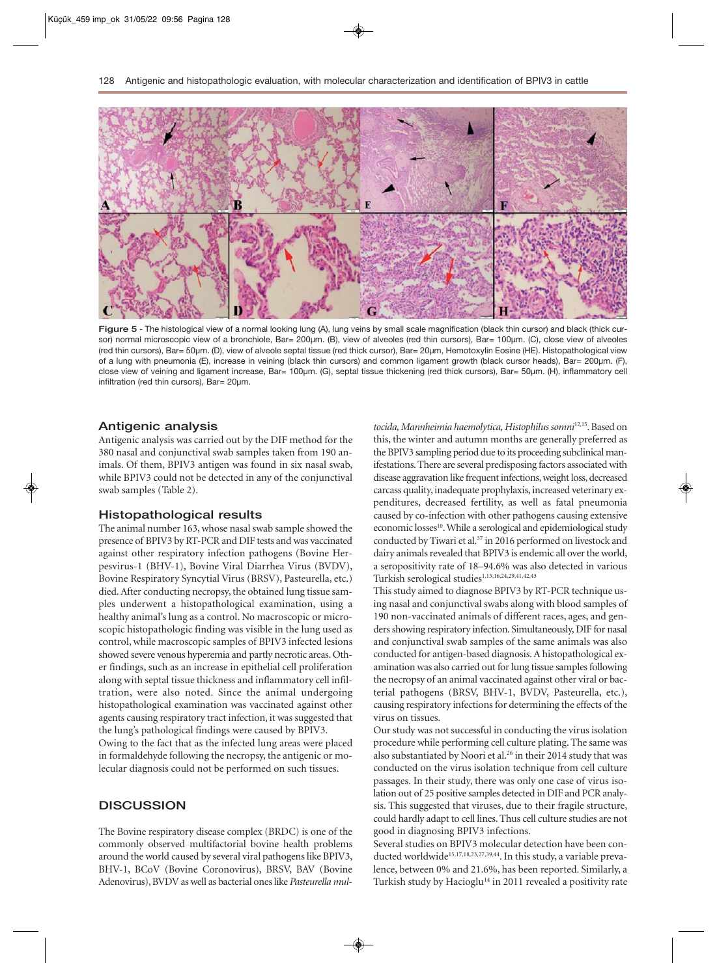

Figure 5 - The histological view of a normal looking lung (A), lung veins by small scale magnification (black thin cursor) and black (thick cursor) normal microscopic view of a bronchiole, Bar= 200µm. (B), view of alveoles (red thin cursors), Bar= 100µm. (C), close view of alveoles (red thin cursors), Bar= 50µm. (D), view of alveole septal tissue (red thick cursor), Bar= 20µm, Hemotoxylin Eosine (HE). Histopathological view of a lung with pneumonia (E), increase in veining (black thin cursors) and common ligament growth (black cursor heads), Bar= 200µm. (F), close view of veining and ligament increase, Bar= 100µm. (G), septal tissue thickening (red thick cursors), Bar= 50µm. (H), inflammatory cell infiltration (red thin cursors), Bar= 20µm.

#### **Antigenic analysis**

Antigenic analysis was carried out by the DIF method for the 380 nasal and conjunctival swab samples taken from 190 animals. Of them, BPIV3 antigen was found in six nasal swab, while BPIV3 could not be detected in any of the conjunctival swab samples (Table 2).

#### **Histopathological results**

The animal number 163, whose nasal swab sample showed the presence of BPIV3 by RT-PCR and DIF tests and was vaccinated against other respiratory infection pathogens (Bovine Herpesvirus-1 (BHV-1), Bovine Viral Diarrhea Virus (BVDV), Bovine Respiratory Syncytial Virus (BRSV), Pasteurella, etc.) died. After conducting necropsy, the obtained lung tissue samples underwent a histopathological examination, using a healthy animal's lung as a control. No macroscopic or microscopic histopathologic finding was visible in the lung used as control, while macroscopic samples of BPIV3 infected lesions showed severe venous hyperemia and partly necrotic areas. Other findings, such as an increase in epithelial cell proliferation along with septal tissue thickness and inflammatory cell infiltration, were also noted. Since the animal undergoing histopathological examination was vaccinated against other agents causing respiratory tract infection, it was suggested that the lung's pathological findings were caused by BPIV3. Owing to the fact that as the infected lung areas were placed

in formaldehyde following the necropsy, the antigenic or molecular diagnosis could not be performed on such tissues.

### **DISCUSSION**

The Bovine respiratory disease complex (BRDC) is one of the commonly observed multifactorial bovine health problems around the world caused by several viral pathogens like BPIV3, BHV-1, BCoV (Bovine Coronovirus), BRSV, BAV (Bovine Adenovirus), BVDV as well as bacterial ones like *Pasteurella mul-* *tocida, Mannheimia haemolytica, Histophilus somni*12,15. Based on this, the winter and autumn months are generally preferred as the BPIV3 sampling period due to its proceeding subclinical manifestations. There are several predisposing factors associated with disease aggravation like frequent infections, weight loss, decreased carcass quality, inadequate prophylaxis, increased veterinary expenditures, decreased fertility, as well as fatal pneumonia caused by co-infection with other pathogens causing extensive economic losses<sup>10</sup>. While a serological and epidemiological study conducted by Tiwari et al.<sup>37</sup> in 2016 performed on livestock and dairy animals revealed that BPIV3 is endemic all over the world, a seropositivity rate of 18–94.6% was also detected in various Turkish serological studies<sup>1,13,16,24,29,41,42,43</sup>

This study aimed to diagnose BPIV3 by RT-PCR technique using nasal and conjunctival swabs along with blood samples of 190 non-vaccinated animals of different races, ages, and genders showing respiratory infection. Simultaneously, DIF for nasal and conjunctival swab samples of the same animals was also conducted for antigen-based diagnosis. A histopathological examination was also carried out for lung tissue samples following the necropsy of an animal vaccinated against other viral or bacterial pathogens (BRSV, BHV-1, BVDV, Pasteurella, etc.), causing respiratory infections for determining the effects of the virus on tissues.

Our study was not successful in conducting the virus isolation procedure while performing cell culture plating. The same was also substantiated by Noori et al.<sup>26</sup> in their 2014 study that was conducted on the virus isolation technique from cell culture passages. In their study, there was only one case of virus isolation out of 25 positive samples detected in DIF and PCR analysis. This suggested that viruses, due to their fragile structure, could hardly adapt to cell lines. Thus cell culture studies are not good in diagnosing BPIV3 infections.

Several studies on BPIV3 molecular detection have been conducted worldwide<sup>15,17,18,23,27,39,44</sup>. In this study, a variable prevalence, between 0% and 21.6%, has been reported. Similarly, a Turkish study by Hacioglu<sup>14</sup> in 2011 revealed a positivity rate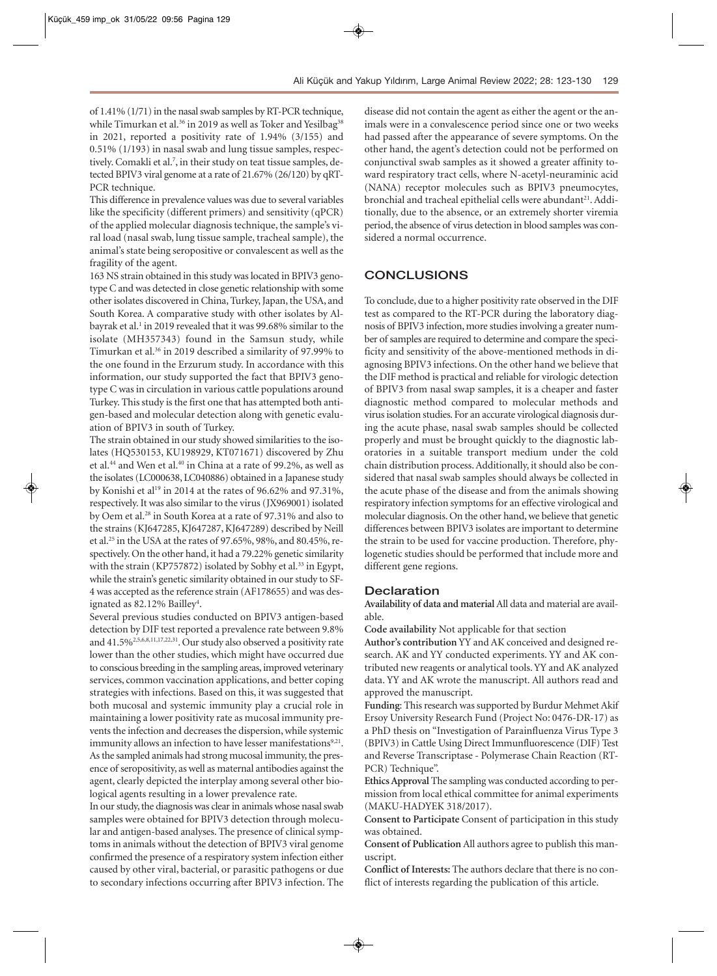of 1.41% (1/71) in the nasal swab samples by RT-PCR technique, while Timurkan et al.<sup>36</sup> in 2019 as well as Toker and Yesilbag<sup>38</sup> in 2021, reported a positivity rate of 1.94% (3/155) and 0.51% (1/193) in nasal swab and lung tissue samples, respectively. Comakli et al.<sup>7</sup>, in their study on teat tissue samples, detected BPIV3 viral genome at a rate of 21.67% (26/120) by qRT-PCR technique.

This difference in prevalence values was due to several variables like the specificity (different primers) and sensitivity (qPCR) of the applied molecular diagnosis technique, the sample's viral load (nasal swab, lung tissue sample, tracheal sample), the animal's state being seropositive or convalescent as well as the fragility of the agent.

163 NS strain obtained in this study was located in BPIV3 genotype C and was detected in close genetic relationship with some other isolates discovered in China, Turkey, Japan, the USA, and South Korea. A comparative study with other isolates by Albayrak et al.<sup>1</sup> in 2019 revealed that it was 99.68% similar to the isolate (MH357343) found in the Samsun study, while Timurkan et al.36 in 2019 described a similarity of 97.99% to the one found in the Erzurum study. In accordance with this information, our study supported the fact that BPIV3 genotype C was in circulation in various cattle populations around Turkey. This study is the first one that has attempted both antigen-based and molecular detection along with genetic evaluation of BPIV3 in south of Turkey.

The strain obtained in our study showed similarities to the isolates (HQ530153, KU198929, KT071671) discovered by Zhu et al.44 and Wen et al.40 in China at a rate of 99.2%, as well as the isolates (LC000638, LC040886) obtained in a Japanese study by Konishi et al<sup>19</sup> in 2014 at the rates of 96.62% and 97.31%, respectively. It was also similar to the virus (JX969001) isolated by Oem et al.28 in South Korea at a rate of 97.31% and also to the strains (KJ647285, KJ647287, KJ647289) described by Neill et al.25 in the USA at the rates of 97.65%, 98%, and 80.45%, respectively. On the other hand, it had a 79.22% genetic similarity with the strain (KP757872) isolated by Sobhy et al.<sup>33</sup> in Egypt, while the strain's genetic similarity obtained in our study to SF-4 was accepted as the reference strain (AF178655) and was designated as 82.12% Bailley<sup>4</sup>.

Several previous studies conducted on BPIV3 antigen-based detection by DIF test reported a prevalence rate between 9.8% and 41.5%<sup>2,5,6,8,11,17,22,31</sup>. Our study also observed a positivity rate lower than the other studies, which might have occurred due to conscious breeding in the sampling areas, improved veterinary services, common vaccination applications, and better coping strategies with infections. Based on this, it was suggested that both mucosal and systemic immunity play a crucial role in maintaining a lower positivity rate as mucosal immunity prevents the infection and decreases the dispersion, while systemic immunity allows an infection to have lesser manifestations<sup>9,21</sup>. As the sampled animals had strong mucosal immunity, the presence of seropositivity, as well as maternal antibodies against the agent, clearly depicted the interplay among several other biological agents resulting in a lower prevalence rate.

In our study, the diagnosis was clear in animals whose nasal swab samples were obtained for BPIV3 detection through molecular and antigen-based analyses. The presence of clinical symptoms in animals without the detection of BPIV3 viral genome confirmed the presence of a respiratory system infection either caused by other viral, bacterial, or parasitic pathogens or due to secondary infections occurring after BPIV3 infection. The

disease did not contain the agent as either the agent or the animals were in a convalescence period since one or two weeks had passed after the appearance of severe symptoms. On the other hand, the agent's detection could not be performed on conjunctival swab samples as it showed a greater affinity toward respiratory tract cells, where N-acetyl-neuraminic acid (NANA) receptor molecules such as BPIV3 pneumocytes, bronchial and tracheal epithelial cells were abundant<sup>21</sup>. Additionally, due to the absence, or an extremely shorter viremia period, the absence of virus detection in blood samples was considered a normal occurrence.

## **CONCLUSIONS**

To conclude, due to a higher positivity rate observed in the DIF test as compared to the RT-PCR during the laboratory diagnosis of BPIV3 infection, more studies involving a greater number of samples are required to determine and compare the specificity and sensitivity of the above-mentioned methods in diagnosing BPIV3 infections. On the other hand we believe that the DIF method is practical and reliable for virologic detection of BPIV3 from nasal swap samples, it is a cheaper and faster diagnostic method compared to molecular methods and virus isolation studies. For an accurate virological diagnosis during the acute phase, nasal swab samples should be collected properly and must be brought quickly to the diagnostic laboratories in a suitable transport medium under the cold chain distribution process. Additionally, it should also be considered that nasal swab samples should always be collected in the acute phase of the disease and from the animals showing respiratory infection symptoms for an effective virological and molecular diagnosis. On the other hand, we believe that genetic differences between BPIV3 isolates are important to determine the strain to be used for vaccine production. Therefore, phylogenetic studies should be performed that include more and different gene regions.

### **Declaration**

**Availability of data and material**All data and material are available.

**Code availability** Not applicable for that section

**Author's contribution** YY and AK conceived and designed research. AK and YY conducted experiments. YY and AK contributed new reagents or analytical tools. YY and AK analyzed data. YY and AK wrote the manuscript. All authors read and approved the manuscript.

**Funding**: This research was supported by Burdur Mehmet Akif Ersoy University Research Fund (Project No: 0476-DR-17) as a PhD thesis on "Investigation of Parainfluenza Virus Type 3 (BPIV3) in Cattle Using Direct Immunfluorescence (DIF) Test and Reverse Transcriptase - Polymerase Chain Reaction (RT-PCR) Technique".

**Ethics Approval** The sampling was conducted according to permission from local ethical committee for animal experiments (MAKU-HADYEK 318/2017).

**Consent to Participate** Consent of participation in this study was obtained.

**Consent of Publication** All authors agree to publish this manuscript.

**Conflict of Interests:** The authors declare that there is no conflict of interests regarding the publication of this article.